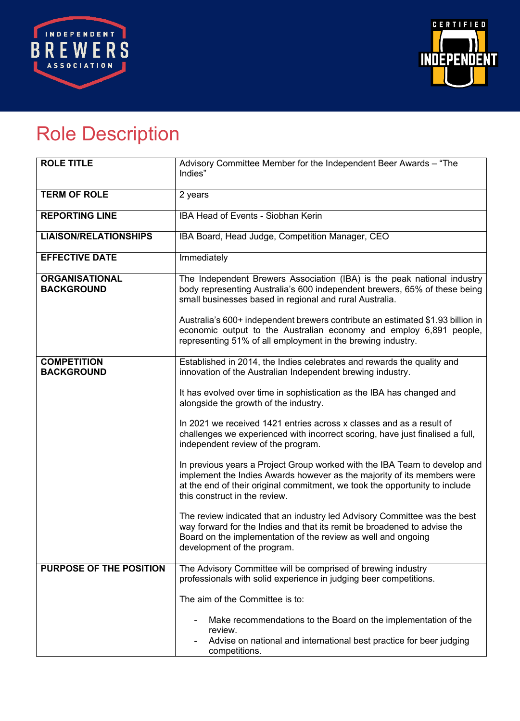



## Role Description

| <b>ROLE TITLE</b>                          | Advisory Committee Member for the Independent Beer Awards - "The<br>Indies"                                                                                                                                                                                                                                                                                                                                                                                                                                                                                                                                                                                                                                                                                                                                                                                                                                                                                                            |
|--------------------------------------------|----------------------------------------------------------------------------------------------------------------------------------------------------------------------------------------------------------------------------------------------------------------------------------------------------------------------------------------------------------------------------------------------------------------------------------------------------------------------------------------------------------------------------------------------------------------------------------------------------------------------------------------------------------------------------------------------------------------------------------------------------------------------------------------------------------------------------------------------------------------------------------------------------------------------------------------------------------------------------------------|
| <b>TERM OF ROLE</b>                        | 2 years                                                                                                                                                                                                                                                                                                                                                                                                                                                                                                                                                                                                                                                                                                                                                                                                                                                                                                                                                                                |
| <b>REPORTING LINE</b>                      | <b>IBA Head of Events - Siobhan Kerin</b>                                                                                                                                                                                                                                                                                                                                                                                                                                                                                                                                                                                                                                                                                                                                                                                                                                                                                                                                              |
| <b>LIAISON/RELATIONSHIPS</b>               | IBA Board, Head Judge, Competition Manager, CEO                                                                                                                                                                                                                                                                                                                                                                                                                                                                                                                                                                                                                                                                                                                                                                                                                                                                                                                                        |
| <b>EFFECTIVE DATE</b>                      | Immediately                                                                                                                                                                                                                                                                                                                                                                                                                                                                                                                                                                                                                                                                                                                                                                                                                                                                                                                                                                            |
| <b>ORGANISATIONAL</b><br><b>BACKGROUND</b> | The Independent Brewers Association (IBA) is the peak national industry<br>body representing Australia's 600 independent brewers, 65% of these being<br>small businesses based in regional and rural Australia.<br>Australia's 600+ independent brewers contribute an estimated \$1.93 billion in<br>economic output to the Australian economy and employ 6,891 people,<br>representing 51% of all employment in the brewing industry.                                                                                                                                                                                                                                                                                                                                                                                                                                                                                                                                                 |
| <b>COMPETITION</b><br><b>BACKGROUND</b>    | Established in 2014, the Indies celebrates and rewards the quality and<br>innovation of the Australian Independent brewing industry.<br>It has evolved over time in sophistication as the IBA has changed and<br>alongside the growth of the industry.<br>In 2021 we received 1421 entries across x classes and as a result of<br>challenges we experienced with incorrect scoring, have just finalised a full,<br>independent review of the program.<br>In previous years a Project Group worked with the IBA Team to develop and<br>implement the Indies Awards however as the majority of its members were<br>at the end of their original commitment, we took the opportunity to include<br>this construct in the review.<br>The review indicated that an industry led Advisory Committee was the best<br>way forward for the Indies and that its remit be broadened to advise the<br>Board on the implementation of the review as well and ongoing<br>development of the program. |
| PURPOSE OF THE POSITION                    | The Advisory Committee will be comprised of brewing industry<br>professionals with solid experience in judging beer competitions.<br>The aim of the Committee is to:<br>Make recommendations to the Board on the implementation of the<br>review.<br>Advise on national and international best practice for beer judging<br>competitions.                                                                                                                                                                                                                                                                                                                                                                                                                                                                                                                                                                                                                                              |